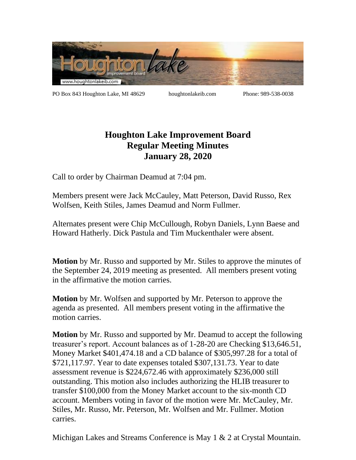

PO Box 843 Houghton Lake, MI 48629 houghtonlakeib.com Phone: 989-538-0038

## **Houghton Lake Improvement Board Regular Meeting Minutes January 28, 2020**

Call to order by Chairman Deamud at 7:04 pm.

Members present were Jack McCauley, Matt Peterson, David Russo, Rex Wolfsen, Keith Stiles, James Deamud and Norm Fullmer.

Alternates present were Chip McCullough, Robyn Daniels, Lynn Baese and Howard Hatherly. Dick Pastula and Tim Muckenthaler were absent.

**Motion** by Mr. Russo and supported by Mr. Stiles to approve the minutes of the September 24, 2019 meeting as presented. All members present voting in the affirmative the motion carries.

**Motion** by Mr. Wolfsen and supported by Mr. Peterson to approve the agenda as presented. All members present voting in the affirmative the motion carries.

**Motion** by Mr. Russo and supported by Mr. Deamud to accept the following treasurer's report. Account balances as of 1-28-20 are Checking \$13,646.51, Money Market \$401,474.18 and a CD balance of \$305,997.28 for a total of \$721,117.97. Year to date expenses totaled \$307,131.73. Year to date assessment revenue is \$224,672.46 with approximately \$236,000 still outstanding. This motion also includes authorizing the HLIB treasurer to transfer \$100,000 from the Money Market account to the six-month CD account. Members voting in favor of the motion were Mr. McCauley, Mr. Stiles, Mr. Russo, Mr. Peterson, Mr. Wolfsen and Mr. Fullmer. Motion carries.

Michigan Lakes and Streams Conference is May 1 & 2 at Crystal Mountain.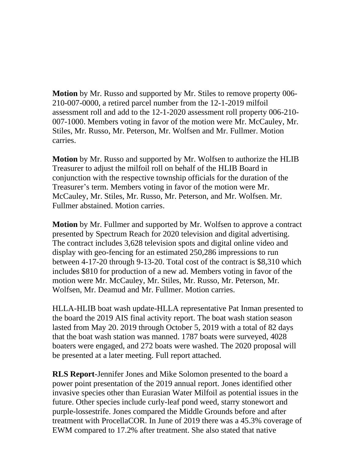**Motion** by Mr. Russo and supported by Mr. Stiles to remove property 006- 210-007-0000, a retired parcel number from the 12-1-2019 milfoil assessment roll and add to the 12-1-2020 assessment roll property 006-210- 007-1000. Members voting in favor of the motion were Mr. McCauley, Mr. Stiles, Mr. Russo, Mr. Peterson, Mr. Wolfsen and Mr. Fullmer. Motion carries.

**Motion** by Mr. Russo and supported by Mr. Wolfsen to authorize the HLIB Treasurer to adjust the milfoil roll on behalf of the HLIB Board in conjunction with the respective township officials for the duration of the Treasurer's term. Members voting in favor of the motion were Mr. McCauley, Mr. Stiles, Mr. Russo, Mr. Peterson, and Mr. Wolfsen. Mr. Fullmer abstained. Motion carries.

**Motion** by Mr. Fullmer and supported by Mr. Wolfsen to approve a contract presented by Spectrum Reach for 2020 television and digital advertising. The contract includes 3,628 television spots and digital online video and display with geo-fencing for an estimated 250,286 impressions to run between 4-17-20 through 9-13-20. Total cost of the contract is \$8,310 which includes \$810 for production of a new ad. Members voting in favor of the motion were Mr. McCauley, Mr. Stiles, Mr. Russo, Mr. Peterson, Mr. Wolfsen, Mr. Deamud and Mr. Fullmer. Motion carries.

HLLA-HLIB boat wash update-HLLA representative Pat Inman presented to the board the 2019 AIS final activity report. The boat wash station season lasted from May 20. 2019 through October 5, 2019 with a total of 82 days that the boat wash station was manned. 1787 boats were surveyed, 4028 boaters were engaged, and 272 boats were washed. The 2020 proposal will be presented at a later meeting. Full report attached.

**RLS Report**-Jennifer Jones and Mike Solomon presented to the board a power point presentation of the 2019 annual report. Jones identified other invasive species other than Eurasian Water Milfoil as potential issues in the future. Other species include curly-leaf pond weed, starry stonewort and purple-lossestrife. Jones compared the Middle Grounds before and after treatment with ProcellaCOR. In June of 2019 there was a 45.3% coverage of EWM compared to 17.2% after treatment. She also stated that native